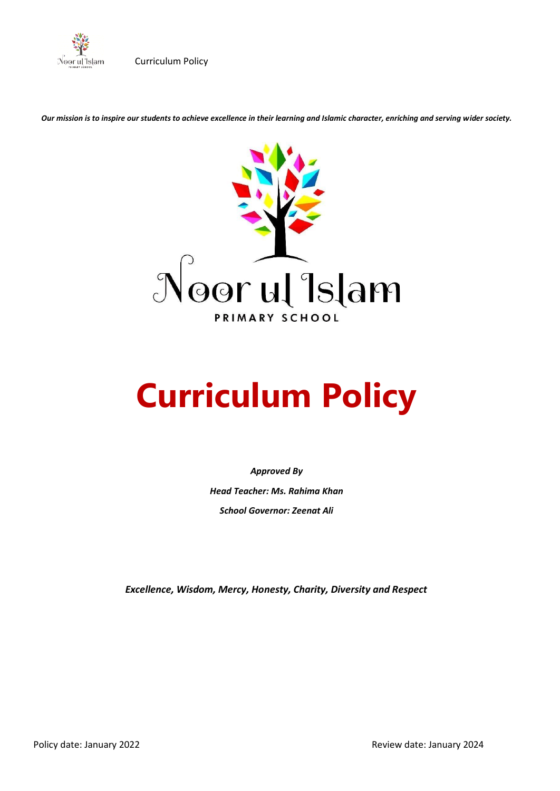

*Our mission is to inspire our students to achieve excellence in their learning and Islamic character, enriching and serving wider society.*



# **Curriculum Policy**

*Approved By Head Teacher: Ms. Rahima Khan School Governor: Zeenat Ali*

*Excellence, Wisdom, Mercy, Honesty, Charity, Diversity and Respect*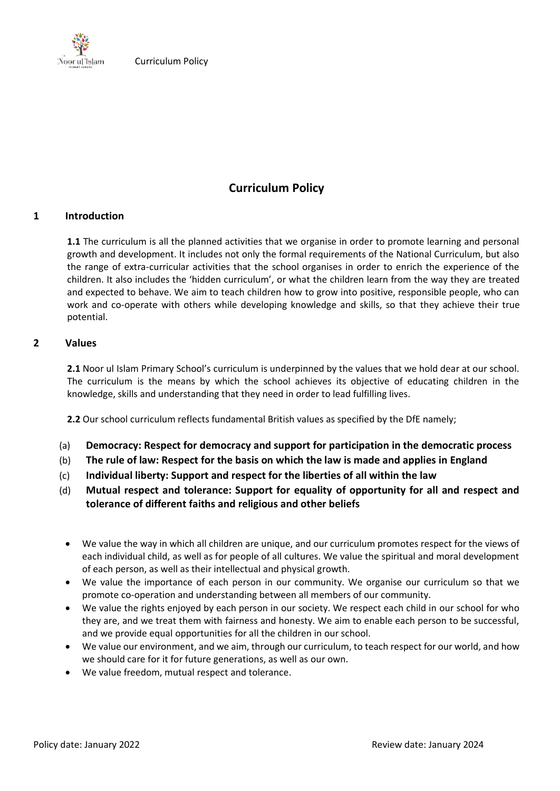

# **Curriculum Policy**

# **1 Introduction**

**1.1** The curriculum is all the planned activities that we organise in order to promote learning and personal growth and development. It includes not only the formal requirements of the National Curriculum, but also the range of extra-curricular activities that the school organises in order to enrich the experience of the children. It also includes the 'hidden curriculum', or what the children learn from the way they are treated and expected to behave. We aim to teach children how to grow into positive, responsible people, who can work and co-operate with others while developing knowledge and skills, so that they achieve their true potential.

# **2 Values**

**2.1** Noor ul Islam Primary School's curriculum is underpinned by the values that we hold dear at our school. The curriculum is the means by which the school achieves its objective of educating children in the knowledge, skills and understanding that they need in order to lead fulfilling lives.

**2.2** Our school curriculum reflects fundamental British values as specified by the DfE namely;

- (a) **Democracy: Respect for democracy and support for participation in the democratic process**
- (b) **The rule of law: Respect for the basis on which the law is made and applies in England**
- (c) **Individual liberty: Support and respect for the liberties of all within the law**
- (d) **Mutual respect and tolerance: Support for equality of opportunity for all and respect and tolerance of different faiths and religious and other beliefs** 
	- We value the way in which all children are unique, and our curriculum promotes respect for the views of each individual child, as well as for people of all cultures. We value the spiritual and moral development of each person, as well as their intellectual and physical growth.
	- We value the importance of each person in our community. We organise our curriculum so that we promote co-operation and understanding between all members of our community.
	- We value the rights enjoyed by each person in our society. We respect each child in our school for who they are, and we treat them with fairness and honesty. We aim to enable each person to be successful, and we provide equal opportunities for all the children in our school.
	- We value our environment, and we aim, through our curriculum, to teach respect for our world, and how we should care for it for future generations, as well as our own.
	- We value freedom, mutual respect and tolerance.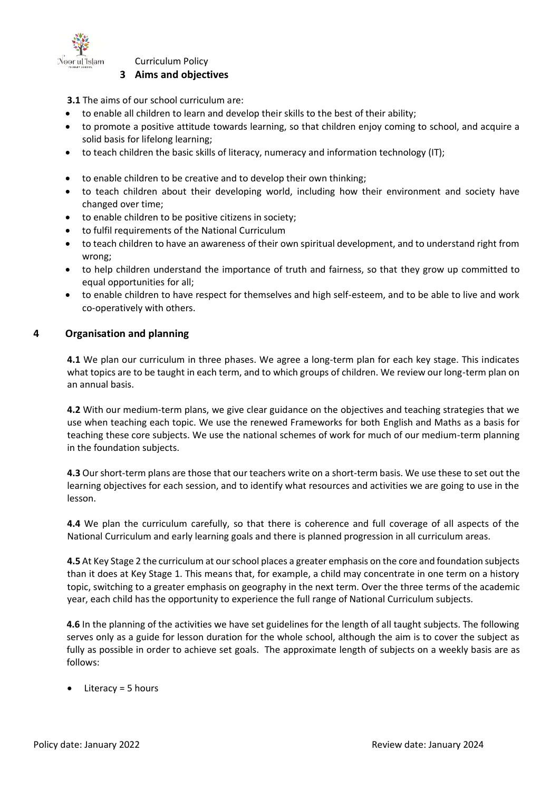

# **3 Aims and objectives**

**3.1** The aims of our school curriculum are:

- to enable all children to learn and develop their skills to the best of their ability;
- to promote a positive attitude towards learning, so that children enjoy coming to school, and acquire a solid basis for lifelong learning;
- to teach children the basic skills of literacy, numeracy and information technology (IT);
- to enable children to be creative and to develop their own thinking;
- to teach children about their developing world, including how their environment and society have changed over time;
- to enable children to be positive citizens in society;
- to fulfil requirements of the National Curriculum
- to teach children to have an awareness of their own spiritual development, and to understand right from wrong;
- to help children understand the importance of truth and fairness, so that they grow up committed to equal opportunities for all;
- to enable children to have respect for themselves and high self-esteem, and to be able to live and work co-operatively with others.

# **4 Organisation and planning**

**4.1** We plan our curriculum in three phases. We agree a long-term plan for each key stage. This indicates what topics are to be taught in each term, and to which groups of children. We review our long-term plan on an annual basis.

**4.2** With our medium-term plans, we give clear guidance on the objectives and teaching strategies that we use when teaching each topic. We use the renewed Frameworks for both English and Maths as a basis for teaching these core subjects. We use the national schemes of work for much of our medium-term planning in the foundation subjects.

**4.3** Our short-term plans are those that our teachers write on a short-term basis. We use these to set out the learning objectives for each session, and to identify what resources and activities we are going to use in the lesson.

**4.4** We plan the curriculum carefully, so that there is coherence and full coverage of all aspects of the National Curriculum and early learning goals and there is planned progression in all curriculum areas.

**4.5** At Key Stage 2 the curriculum at our school places a greater emphasis on the core and foundation subjects than it does at Key Stage 1. This means that, for example, a child may concentrate in one term on a history topic, switching to a greater emphasis on geography in the next term. Over the three terms of the academic year, each child has the opportunity to experience the full range of National Curriculum subjects.

**4.6** In the planning of the activities we have set guidelines for the length of all taught subjects. The following serves only as a guide for lesson duration for the whole school, although the aim is to cover the subject as fully as possible in order to achieve set goals. The approximate length of subjects on a weekly basis are as follows:

• Literacy = 5 hours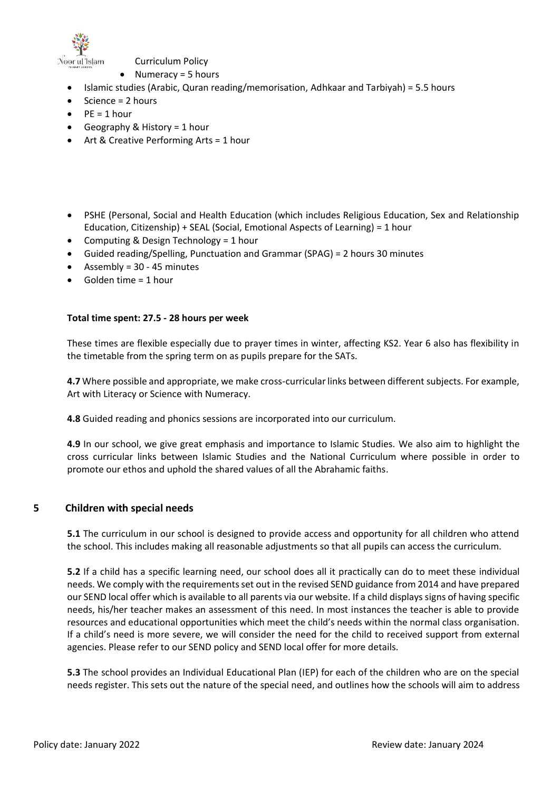

- Numeracy = 5 hours
- Islamic studies (Arabic, Quran reading/memorisation, Adhkaar and Tarbiyah) = 5.5 hours
- Science = 2 hours
- $PF = 1$  hour
- Geography & History = 1 hour
- Art & Creative Performing Arts = 1 hour
- PSHE (Personal, Social and Health Education (which includes Religious Education, Sex and Relationship Education, Citizenship) + SEAL (Social, Emotional Aspects of Learning) = 1 hour
- Computing & Design Technology = 1 hour
- Guided reading/Spelling, Punctuation and Grammar (SPAG) = 2 hours 30 minutes
- Assembly = 30 45 minutes
- $\bullet$  Golden time = 1 hour

#### **Total time spent: 27.5 - 28 hours per week**

These times are flexible especially due to prayer times in winter, affecting KS2. Year 6 also has flexibility in the timetable from the spring term on as pupils prepare for the SATs.

**4.7** Where possible and appropriate, we make cross-curricular links between different subjects. For example, Art with Literacy or Science with Numeracy.

**4.8** Guided reading and phonics sessions are incorporated into our curriculum.

**4.9** In our school, we give great emphasis and importance to Islamic Studies. We also aim to highlight the cross curricular links between Islamic Studies and the National Curriculum where possible in order to promote our ethos and uphold the shared values of all the Abrahamic faiths.

#### **5 Children with special needs**

**5.1** The curriculum in our school is designed to provide access and opportunity for all children who attend the school. This includes making all reasonable adjustments so that all pupils can access the curriculum.

**5.2** If a child has a specific learning need, our school does all it practically can do to meet these individual needs. We comply with the requirements set out in the revised SEND guidance from 2014 and have prepared our SEND local offer which is available to all parents via our website. If a child displays signs of having specific needs, his/her teacher makes an assessment of this need. In most instances the teacher is able to provide resources and educational opportunities which meet the child's needs within the normal class organisation. If a child's need is more severe, we will consider the need for the child to received support from external agencies. Please refer to our SEND policy and SEND local offer for more details.

**5.3** The school provides an Individual Educational Plan (IEP) for each of the children who are on the special needs register. This sets out the nature of the special need, and outlines how the schools will aim to address